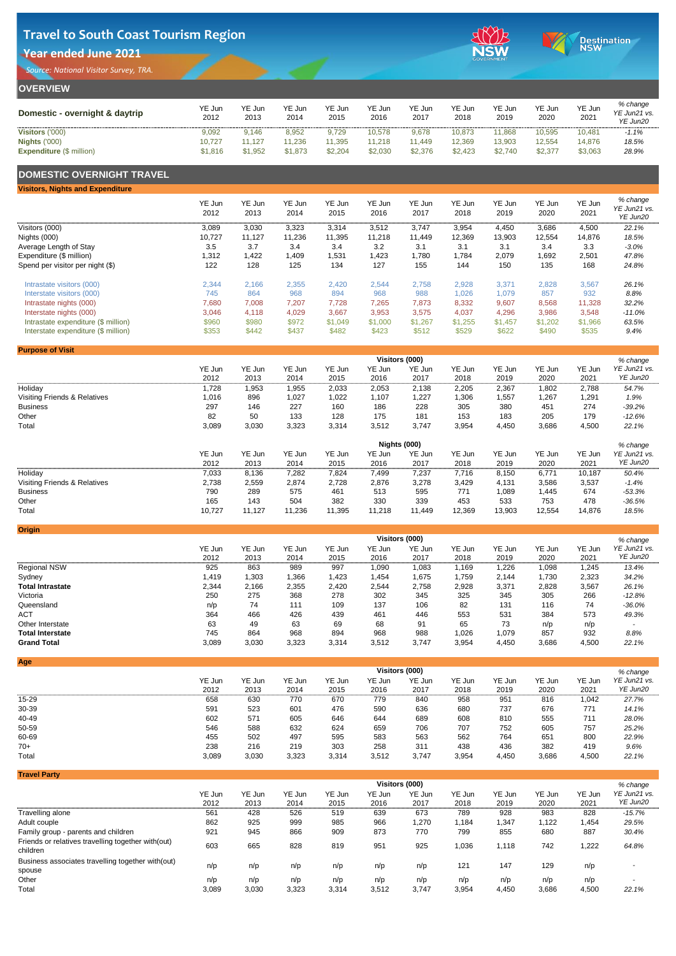| <b>OVERVIEW</b>                 |                |                       |                |                |                |                |                |                       |                       |                |                                      |  |  |
|---------------------------------|----------------|-----------------------|----------------|----------------|----------------|----------------|----------------|-----------------------|-----------------------|----------------|--------------------------------------|--|--|
| Domestic - overnight & daytrip  | YE Jun<br>2012 | <b>YE Jun</b><br>2013 | YE Jun<br>2014 | YE Jun<br>2015 | YE Jun<br>2016 | YE Jun<br>2017 | YE Jun<br>2018 | <b>YE Jun</b><br>2019 | <b>YE Jun</b><br>2020 | YE Jun<br>2021 | % change<br>YE Jun21 vs.<br>YE Jun20 |  |  |
| <b>Visitors ('000)</b>          | 9,092          | 9,146                 | 8,952          | 9,729          | 10,578         | 9,678          | 10,873         | 11,868                | 10,595                | 10,481         | $-1.1%$                              |  |  |
| <b>Nights ('000)</b>            | 10,727         | 11,127                | 11,236         | 11,395         | 11,218         | 1,449          | 12,369         | 13,903                | 12,554                | 14,876         | 18.5%                                |  |  |
| <b>Expenditure (\$ million)</b> | \$1,816        | \$1,952               | \$1,873        | \$2,204        | \$2,030        | \$2,376        | \$2,423        | \$2,740               | \$2,377               | \$3,063        | 28.9%                                |  |  |

### **DOMESTIC OVERNIGHT TRAVEL**

| <b>Visitors, Nights and Expenditure</b> |                |                |                |                |                |                |                |                |                |                |                                      |
|-----------------------------------------|----------------|----------------|----------------|----------------|----------------|----------------|----------------|----------------|----------------|----------------|--------------------------------------|
|                                         | YE Jun<br>2012 | YE Jun<br>2013 | YE Jun<br>2014 | YE Jun<br>2015 | YE Jun<br>2016 | YE Jun<br>2017 | YE Jun<br>2018 | YE Jun<br>2019 | YE Jun<br>2020 | YE Jun<br>2021 | % change<br>YE Jun21 vs.<br>YE Jun20 |
| Visitors (000)                          | 3,089          | 3,030          | 3,323          | 3,314          | 3,512          | 3,747          | 3,954          | 4,450          | 3,686          | 4,500          | 22.1%                                |
| Nights (000)                            | 10,727         | 11,127         | 11,236         | 11,395         | 11,218         | 11,449         | 12,369         | 13,903         | 12,554         | 14,876         | 18.5%                                |
| Average Length of Stay                  | 3.5            | 3.7            | 3.4            | 3.4            | 3.2            | 3.1            | 3.1            | 3.1            | 3.4            | 3.3            | $-3.0\%$                             |
| Expenditure (\$ million)                | 1,312          | l,422          | 1,409          | 1,531          | 1,423          | 1,780          | 1,784          | 2,079          | ,692           | 2,501          | 47.8%                                |
| Spend per visitor per night (\$)        | 122            | 128            | 125            | 134            | 127            | 155            | 144            | 150            | 135            | 168            | 24.8%                                |
| Intrastate visitors (000)               | 2,344          | 2,166          | 2,355          | 2,420          | 2,544          | 2,758          | 2,928          | 3,371          | 2,828          | 3,567          | 26.1%                                |
| Interstate visitors (000)               | 745            | 864            | 968            | 894            | 968            | 988            | 1,026          | 1,079          | 857            | 932            | 8.8%                                 |
| Intrastate nights (000)                 | 7,680          | 7,008          | 7,207          | 7,728          | 7,265          | 7,873          | 8,332          | 9,607          | 8,568          | 11,328         | 32.2%                                |
| Interstate nights (000)                 | 3,046          | 4,118          | 4,029          | 3,667          | 3,953          | 3,575          | 4,037          | 4,296          | 3,986          | 3,548          | $-11.0%$                             |
| Intrastate expenditure (\$ million)     | \$960          | \$980          | \$972          | \$1,049        | \$1,000        | \$1,267        | \$1,255        | \$1,457        | \$1,202        | \$1,966        | 63.5%                                |
| Interstate expenditure (\$ million)     | \$353          | \$442          | \$437          | \$482          | \$423          | \$512          | \$529          | \$622          | \$490          | \$535          | 9.4%                                 |

**Origin**

| <b>Purpose of Visit</b>                 |        |        |        |               |        |                       |        |        |        |               |              |
|-----------------------------------------|--------|--------|--------|---------------|--------|-----------------------|--------|--------|--------|---------------|--------------|
|                                         |        |        |        |               |        | <b>Visitors (000)</b> |        |        |        |               | % change     |
|                                         | YE Jun | YE Jun | YE Jun | <b>YE Jun</b> | YE Jun | YE Jun                | YE Jun | YE Jun | YE Jun | <b>YE Jun</b> | YE Jun21 vs. |
|                                         | 2012   | 2013   | 2014   | 2015          | 2016   | 2017                  | 2018   | 2019   | 2020   | 2021          | YE Jun20     |
| Holiday                                 | 1,728  | 1,953  | ,955   | 2,033         | 2,053  | 2,138                 | 2,205  | 2,367  | 1,802  | 2,788         | 54.7%        |
| <b>Visiting Friends &amp; Relatives</b> | 1,016  | 896    | ,027   | ,022          | ,107   | 1,227                 | 1,306  | 1,557  | 1,267  | 1,291         | 1.9%         |
| <b>Business</b>                         | 297    | 146    | 227    | 160           | 186    | 228                   | 305    | 380    | 451    | 274           | $-39.2%$     |
| Other                                   | 82     | 50     | 133    | 128           | 175    | 181                   | 153    | 183    | 205    | 179           | $-12.6%$     |
| Total                                   | 3,089  | 3,030  | 3,323  | 3,314         | 3,512  | 3,747                 | 3,954  | 4,450  | 3,686  | 4,500         | 22.1%        |





|                                         | <b>Nights (000)</b><br>% change |        |        |        |        |        |               |               |        |               |              |  |  |
|-----------------------------------------|---------------------------------|--------|--------|--------|--------|--------|---------------|---------------|--------|---------------|--------------|--|--|
|                                         | YE Jun                          | YE Jun | YE Jun | YE Jun | YE Jun | YE Jun | <b>YE Jun</b> | <b>YE Jun</b> | YE Jun | <b>YE Jun</b> | YE Jun21 vs. |  |  |
|                                         | 2012                            | 2013   | 2014   | 2015   | 2016   | 2017   | 2018          | 2019          | 2020   | 2021          | YE Jun20     |  |  |
| Holiday                                 | 7,033                           | 8,136  | 7,282  | 7,824  | 7,499  | 7,237  | 7,716         | 8,150         | 6,771  | 10,187        | 50.4%        |  |  |
| <b>Visiting Friends &amp; Relatives</b> | 2,738                           | 2,559  | 2,874  | 2,728  | 2,876  | 3,278  | 3,429         | 4,131         | 3,586  | 3,537         | $-1.4%$      |  |  |
| <b>Business</b>                         | 790                             | 289    | 575    | 461    | 513    | 595    | 771           | ,089          | ,445   | 674           | $-53.3%$     |  |  |
| Other                                   | 165                             | 143    | 504    | 382    | 330    | 339    | 453           | 533           | 753    | 478           | $-36.5%$     |  |  |
| Total                                   | 10,727                          | 11,127 | 11,236 | 11,395 | 1,218  | 11,449 | 12,369        | 13,903        | 12,554 | 14,876        | 18.5%        |  |  |

|                         | <b>Visitors (000)</b><br>% change |        |        |        |        |               |        |        |        |        |              |  |  |
|-------------------------|-----------------------------------|--------|--------|--------|--------|---------------|--------|--------|--------|--------|--------------|--|--|
|                         | YE Jun                            | YE Jun | YE Jun | YE Jun | YE Jun | <b>YE Jun</b> | YE Jun | YE Jun | YE Jun | YE Jun | YE Jun21 vs. |  |  |
|                         | 2012                              | 2013   | 2014   | 2015   | 2016   | 2017          | 2018   | 2019   | 2020   | 2021   | YE Jun20     |  |  |
| <b>Regional NSW</b>     | 925                               | 863    | 989    | 997    | 1,090  | 1,083         | 1,169  | 1,226  | 1,098  | 1,245  | 13.4%        |  |  |
| Sydney                  | 1,419                             | 1,303  | 1,366  | ,423   | 1,454  | l,675         | 1,759  | 2,144  | 1,730  | 2,323  | 34.2%        |  |  |
| <b>Total Intrastate</b> | 2,344                             | 2,166  | 2,355  | 2,420  | 2,544  | 2,758         | 2,928  | 3,371  | 2,828  | 3,567  | 26.1%        |  |  |
| Victoria                | 250                               | 275    | 368    | 278    | 302    | 345           | 325    | 345    | 305    | 266    | $-12.8%$     |  |  |
| Queensland              | n/p                               | 74     | 111    | 109    | 137    | 106           | 82     | 131    | 116    | 74     | $-36.0\%$    |  |  |
| <b>ACT</b>              | 364                               | 466    | 426    | 439    | 461    | 446           | 553    | 531    | 384    | 573    | 49.3%        |  |  |
| Other Interstate        | 63                                | 49     | 63     | 69     | 68     | 91            | 65     | 73     | n/p    | n/p    |              |  |  |
| <b>Total Interstate</b> | 745                               | 864    | 968    | 894    | 968    | 988           | 1,026  | 1,079  | 857    | 932    | 8.8%         |  |  |
| <b>Grand Total</b>      | 3,089                             | 3,030  | 3,323  | 3,314  | 3,512  | 3,747         | 3,954  | 4,450  | 3,686  | 4,500  | 22.1%        |  |  |

|               |        |        |               |               |        |                       |               |        |        | % change     |
|---------------|--------|--------|---------------|---------------|--------|-----------------------|---------------|--------|--------|--------------|
| <b>YE Jun</b> | YE Jun | YE Jun | <b>YE Jun</b> | <b>YE Jun</b> | YE Jun | YE Jun                | <b>YE Jun</b> | YE Jun | YE Jun | YE Jun21 vs. |
| 2012          | 2013   | 2014   | 2015          | 2016          | 2017   | 2018                  | 2019          | 2020   | 2021   | YE Jun20     |
| 658           | 630    | 770    | 670           | 779           | 840    | 958                   | 951           | 816    | 1,042  | 27.7%        |
| 591           | 523    | 601    | 476           | 590           | 636    | 680                   | 737           | 676    | 771    | 14.1%        |
| 602           | 571    | 605    | 646           | 644           | 689    | 608                   | 810           | 555    | 711    | 28.0%        |
| 546           | 588    | 632    | 624           | 659           | 706    | 707                   | 752           | 605    | 757    | 25.2%        |
| 455           | 502    | 497    | 595           | 583           | 563    | 562                   | 764           | 651    | 800    | 22.9%        |
| 238           | 216    | 219    | 303           | 258           | 311    | 438                   | 436           | 382    | 419    | 9.6%         |
| 3,089         | 3,030  | 3,323  | 3,314         | 3,512         | 3,747  | 3,954                 | 4,450         | 3,686  | 4,500  | 22.1%        |
|               |        |        |               |               |        | <b>Visitors (000)</b> |               |        |        |              |

|                                                                 | <b>Visitors (000)</b><br>% change |        |        |        |               |        |               |               |        |        |                          |  |  |  |
|-----------------------------------------------------------------|-----------------------------------|--------|--------|--------|---------------|--------|---------------|---------------|--------|--------|--------------------------|--|--|--|
|                                                                 | <b>YE Jun</b>                     | YE Jun | YE Jun | YE Jun | <b>YE Jun</b> | YE Jun | <b>YE Jun</b> | <b>YE Jun</b> | YE Jun | YE Jun | YE Jun21 vs.             |  |  |  |
|                                                                 | 2012                              | 2013   | 2014   | 2015   | 2016          | 2017   | 2018          | 2019          | 2020   | 2021   | YE Jun20                 |  |  |  |
| Travelling alone                                                | 561                               | 428    | 526    | 519    | 639           | 673    | 789           | 928           | 983    | 828    | $-15.7%$                 |  |  |  |
| Adult couple                                                    | 862                               | 925    | 999    | 985    | 966           | 1,270  | 1,184         | 1,347         | 1,122  | 1,454  | 29.5%                    |  |  |  |
| Family group - parents and children                             | 921                               | 945    | 866    | 909    | 873           | 770    | 799           | 855           | 680    | 887    | 30.4%                    |  |  |  |
| Friends or relatives travelling together with (out)<br>children | 603                               | 665    | 828    | 819    | 951           | 925    | 1,036         | 1,118         | 742    | 1,222  | 64.8%                    |  |  |  |
| Business associates travelling together with (out)<br>spouse    | n/p                               | n/p    | n/p    | n/p    | n/p           | n/p    | 121           | 147           | 129    | n/p    |                          |  |  |  |
| Other                                                           | n/p                               | n/p    | n/p    | n/p    | n/p           | n/p    | n/p           | n/p           | n/p    | n/p    | $\overline{\phantom{a}}$ |  |  |  |
| <b>Total</b>                                                    | 3,089                             | 3,030  | 3,323  | 3,314  | 3,512         | 3,747  | 3,954         | 4,450         | 3,686  | 4,500  | 22.1%                    |  |  |  |

# **Travel to South Coast Tourism Region**

## **Year ended June 2021**

*Source: National Visitor Survey, TRA.*